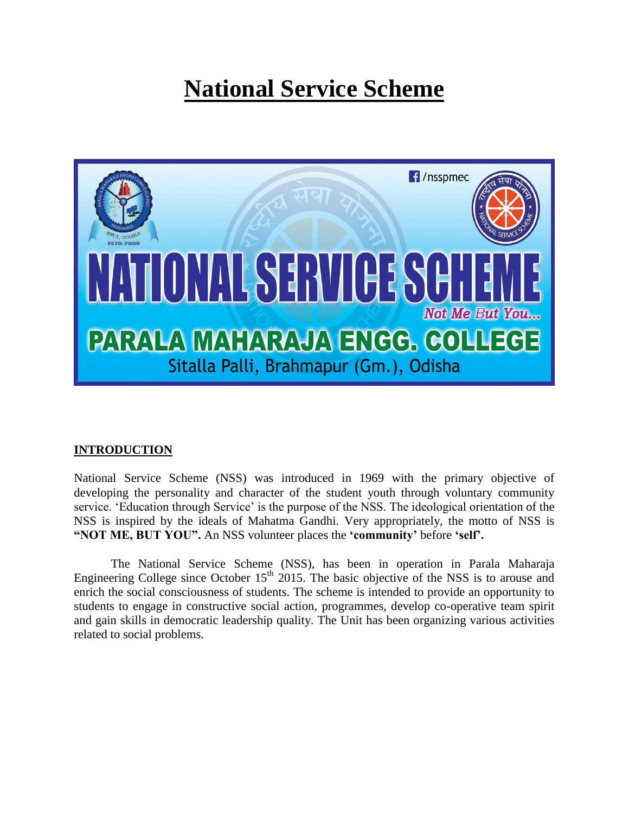# **National Service Scheme**



# **INTRODUCTION**

National Service Scheme (NSS) was introduced in 1969 with the primary objective of developing the personality and character of the student youth through voluntary community service. 'Education through Service' is the purpose of the NSS. The ideological orientation of the NSS is inspired by the ideals of Mahatma Gandhi. Very appropriately, the motto of NSS is **"NOT ME, BUT YOU".** An NSS volunteer places the **"community"** before **"self".** 

The National Service Scheme (NSS), has been in operation in Parala Maharaja Engineering College since October  $15<sup>th</sup>$  2015. The basic objective of the NSS is to arouse and enrich the social consciousness of students. The scheme is intended to provide an opportunity to students to engage in constructive social action, programmes, develop co-operative team spirit and gain skills in democratic leadership quality. The Unit has been organizing various activities related to social problems.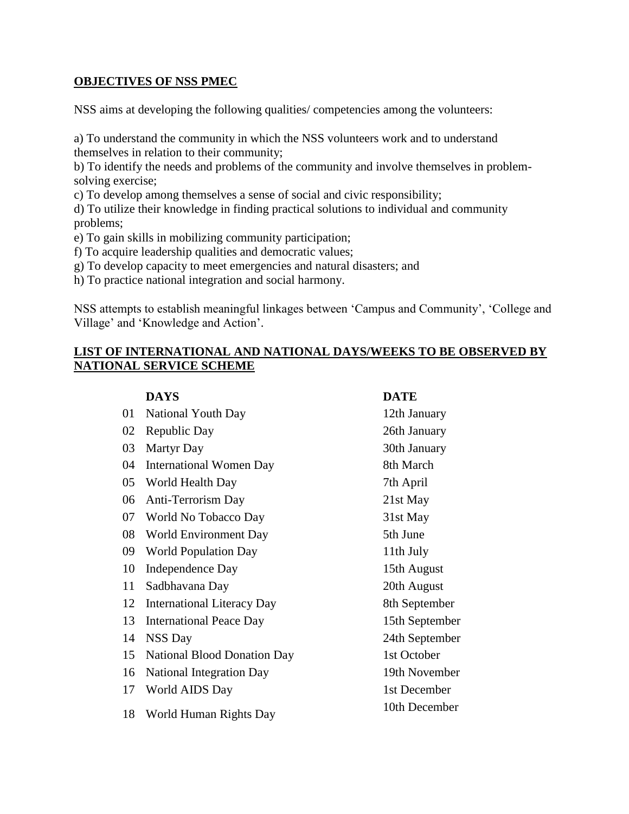### **OBJECTIVES OF NSS PMEC**

NSS aims at developing the following qualities/ competencies among the volunteers:

a) To understand the community in which the NSS volunteers work and to understand themselves in relation to their community;

b) To identify the needs and problems of the community and involve themselves in problemsolving exercise;

c) To develop among themselves a sense of social and civic responsibility;

d) To utilize their knowledge in finding practical solutions to individual and community problems;

e) To gain skills in mobilizing community participation;

f) To acquire leadership qualities and democratic values;

g) To develop capacity to meet emergencies and natural disasters; and

h) To practice national integration and social harmony.

NSS attempts to establish meaningful linkages between 'Campus and Community', 'College and Village' and 'Knowledge and Action'.

#### **[LIST OF INTERNATIONAL AND NATIONAL DAYS/WEEKS TO BE OBSERVED BY](javascript:void(0))  [NATIONAL SERVICE SCHEME](javascript:void(0))**

|    | <b>DAYS</b>                        | <b>DATE</b>    |
|----|------------------------------------|----------------|
| 01 | National Youth Day                 | 12th January   |
| 02 | Republic Day                       | 26th January   |
| 03 | Martyr Day                         | 30th January   |
| 04 | <b>International Women Day</b>     | 8th March      |
| 05 | World Health Day                   | 7th April      |
| 06 | Anti-Terrorism Day                 | 21st May       |
| 07 | World No Tobacco Day               | 31st May       |
| 08 | World Environment Day              | 5th June       |
| 09 | <b>World Population Day</b>        | 11th July      |
| 10 | <b>Independence Day</b>            | 15th August    |
| 11 | Sadbhavana Day                     | 20th August    |
| 12 | <b>International Literacy Day</b>  | 8th September  |
| 13 | <b>International Peace Day</b>     | 15th September |
| 14 | <b>NSS Day</b>                     | 24th September |
| 15 | <b>National Blood Donation Day</b> | 1st October    |
| 16 | National Integration Day           | 19th November  |
| 17 | World AIDS Day                     | 1st December   |
| 18 | World Human Rights Day             | 10th December  |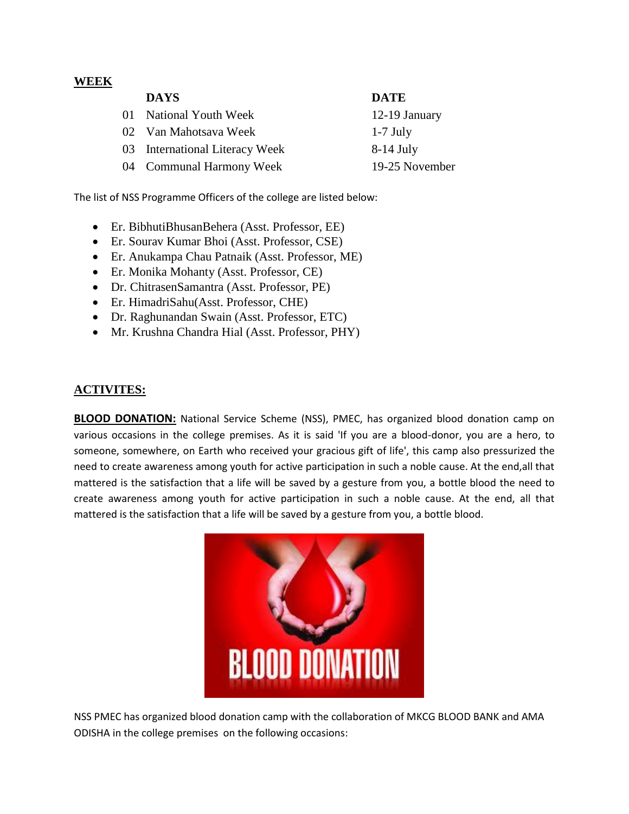#### **[WEEK](javascript:void(0))**

| <b>DAYS</b>                    | <b>DATE</b>    |
|--------------------------------|----------------|
| 01 National Youth Week         | 12-19 January  |
| 02 Van Mahotsava Week          | $1-7$ July     |
| 03 International Literacy Week | $8-14$ July    |
| 04 Communal Harmony Week       | 19-25 November |

The list of NSS Programme Officers of the college are listed below:

- Er. BibhutiBhusanBehera (Asst. Professor, EE)
- Er. Sourav Kumar Bhoi (Asst. Professor, CSE)
- Er. Anukampa Chau Patnaik (Asst. Professor, ME)
- Er. Monika Mohanty (Asst. Professor, CE)
- Dr. ChitrasenSamantra (Asst. Professor, PE)
- Er. HimadriSahu(Asst. Professor, CHE)
- Dr. Raghunandan Swain (Asst. Professor, ETC)
- Mr. Krushna Chandra Hial (Asst. Professor, PHY)

# **ACTIVITES:**

**BLOOD DONATION:** National Service Scheme (NSS), PMEC, has organized blood donation camp on various occasions in the college premises. As it is said 'If you are a blood-donor, you are a hero, to someone, somewhere, on Earth who received your gracious gift of life', this camp also pressurized the need to create awareness among youth for active participation in such a noble cause. At the end,all that mattered is the satisfaction that a life will be saved by a gesture from you, a bottle blood the need to create awareness among youth for active participation in such a noble cause. At the end, all that mattered is the satisfaction that a life will be saved by a gesture from you, a bottle blood.



NSS PMEC has organized blood donation camp with the collaboration of MKCG BLOOD BANK and AMA ODISHA in the college premises on the following occasions: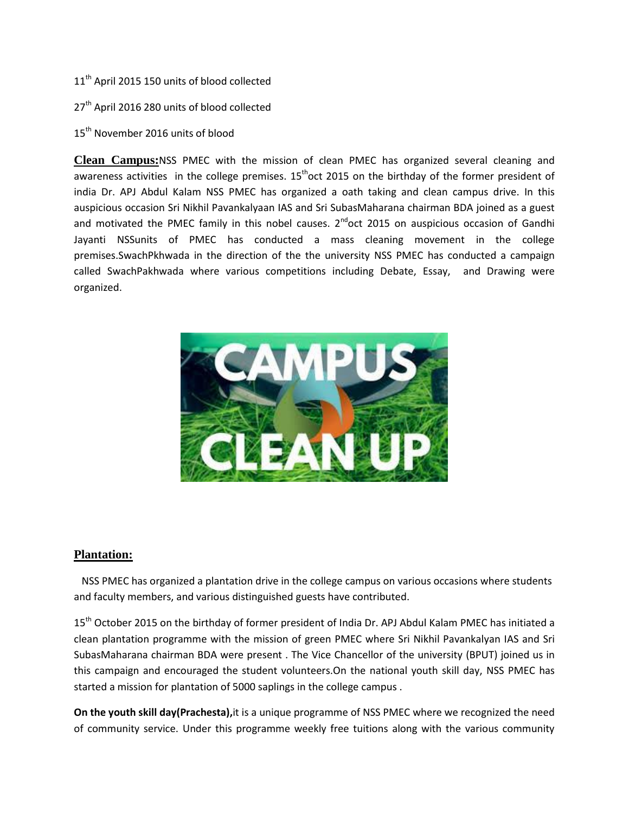- 11<sup>th</sup> April 2015 150 units of blood collected
- 27<sup>th</sup> April 2016 280 units of blood collected
- 15<sup>th</sup> November 2016 units of blood

**Clean Campus:**NSS PMEC with the mission of clean PMEC has organized several cleaning and awareness activities in the college premises.  $15<sup>th</sup>$  oct 2015 on the birthday of the former president of india Dr. APJ Abdul Kalam NSS PMEC has organized a oath taking and clean campus drive. In this auspicious occasion Sri Nikhil Pavankalyaan IAS and Sri SubasMaharana chairman BDA joined as a guest and motivated the PMEC family in this nobel causes.  $2^{nd}$  oct 2015 on auspicious occasion of Gandhi Jayanti NSSunits of PMEC has conducted a mass cleaning movement in the college premises.SwachPkhwada in the direction of the the university NSS PMEC has conducted a campaign called SwachPakhwada where various competitions including Debate, Essay, and Drawing were organized.



#### **Plantation:**

 NSS PMEC has organized a plantation drive in the college campus on various occasions where students and faculty members, and various distinguished guests have contributed.

15<sup>th</sup> October 2015 on the birthday of former president of India Dr. APJ Abdul Kalam PMEC has initiated a clean plantation programme with the mission of green PMEC where Sri Nikhil Pavankalyan IAS and Sri SubasMaharana chairman BDA were present . The Vice Chancellor of the university (BPUT) joined us in this campaign and encouraged the student volunteers.On the national youth skill day, NSS PMEC has started a mission for plantation of 5000 saplings in the college campus .

**On the youth skill day(Prachesta),**it is a unique programme of NSS PMEC where we recognized the need of community service. Under this programme weekly free tuitions along with the various community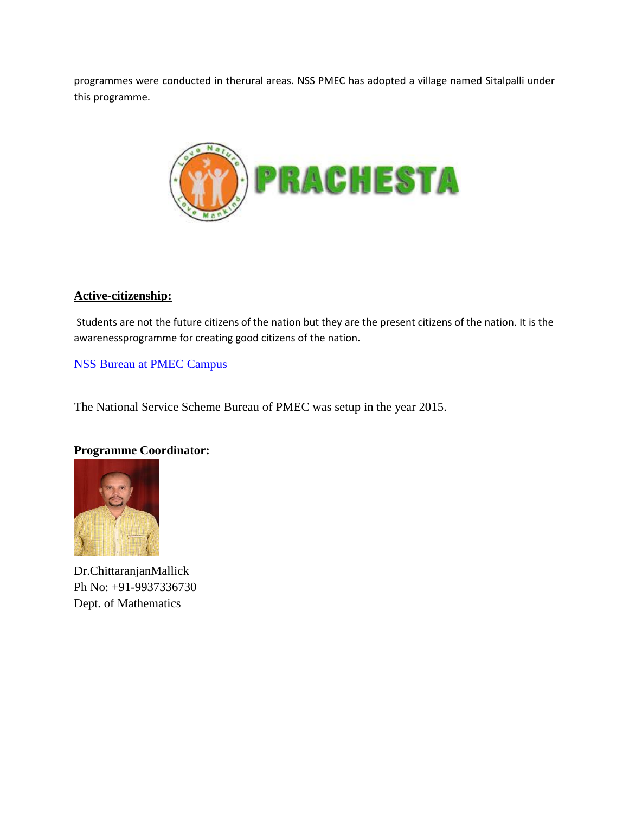programmes were conducted in therural areas. NSS PMEC has adopted a village named Sitalpalli under this programme.



# **Active-citizenship:**

Students are not the future citizens of the nation but they are the present citizens of the nation. It is the awarenessprogramme for creating good citizens of the nation.

# NSS Bureau at PMEC Campus

The National Service Scheme Bureau of PMEC was setup in the year 2015.

# **Programme Coordinator:**



Dr.ChittaranjanMallick Ph No: +91-9937336730 Dept. of Mathematics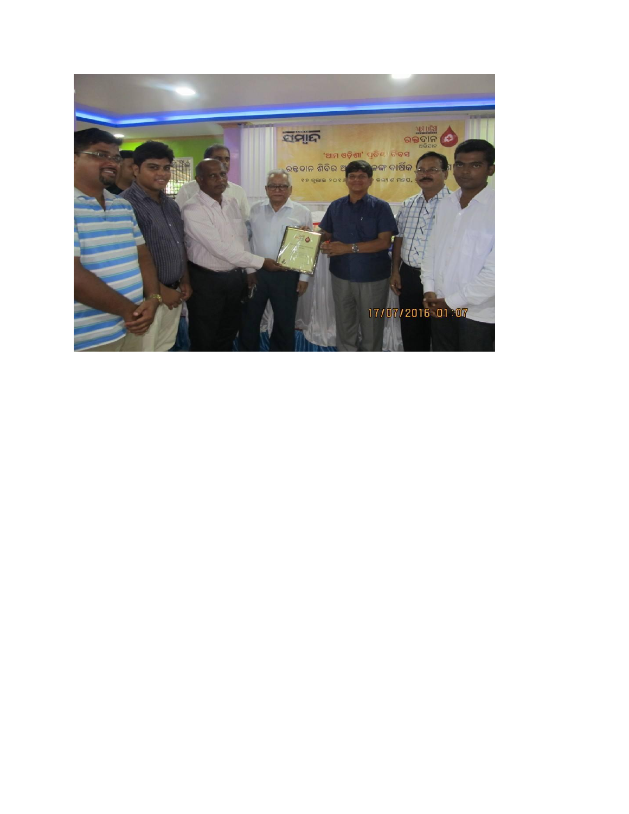